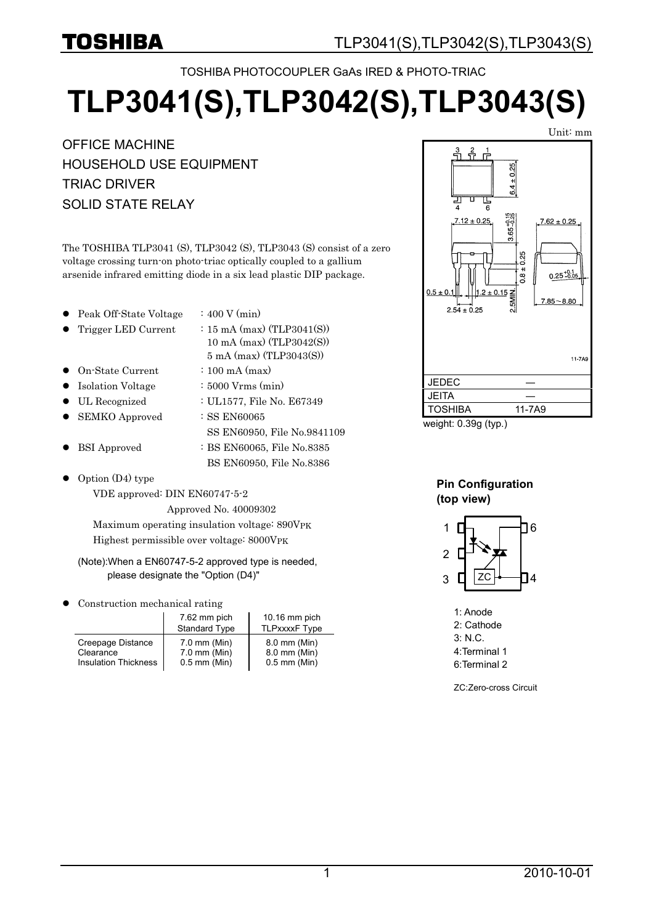TOSHIBA PHOTOCOUPLER GaAs IRED & PHOTO-TRIAC

# **TLP3041(S),TLP3042(S),TLP3043(S)**

OFFICE MACHINE HOUSEHOLD USE EQUIPMENT TRIAC DRIVER SOLID STATE RELAY

The TOSHIBA TLP3041 (S), TLP3042 (S), TLP3043 (S) consist of a zero voltage crossing turn-on photo-triac optically coupled to a gallium arsenide infrared emitting diode in a six lead plastic DIP package.

- Peak Off-State Voltage  $\therefore$  400 V (min)
- Trigger LED Current :  $15 \text{ mA (max) (TLP3041(S))}$ 
	- 10 mA (max) (TLP3042(S)) 5 mA (max) (TLP3043(S))

SS EN60950, File No.9841109

BS EN60950, File No.8386

- z On-State Current : 100 mA (max)
- Isolation Voltage : 5000 Vrms (min)
- $\bullet$  UL Recognized : UL1577, File No. E67349
- SEMKO Approved : SS EN60065
- BSI Approved : BS EN60065, File No.8385
- Option (D4) type

VDE approved: DIN EN60747-5-2 Approved No. 40009302

Maximum operating insulation voltage: 890VPK

Highest permissible over voltage: 8000VPK

#### (Note):When a EN60747-5-2 approved type is needed, please designate the "Option (D4)"

Construction mechanical rating

|                      | 7.62 mm pich<br><b>Standard Type</b> | $10.16$ mm pich<br><b>TLPxxxxF Type</b> |  |  |  |
|----------------------|--------------------------------------|-----------------------------------------|--|--|--|
| Creepage Distance    | $7.0$ mm (Min)                       | 8.0 mm (Min)                            |  |  |  |
| Clearance            | $7.0$ mm (Min)                       | 8.0 mm (Min)                            |  |  |  |
| Insulation Thickness | $0.5$ mm (Min)                       | $0.5$ mm (Min)                          |  |  |  |



weight: 0.39g (typ.)

#### **Pin Configuration (top view)**



1: Anode 2: Cathode 3: N.C. 4:Terminal 1 6:Terminal 2

ZC:Zero-cross Circuit

Unit: mm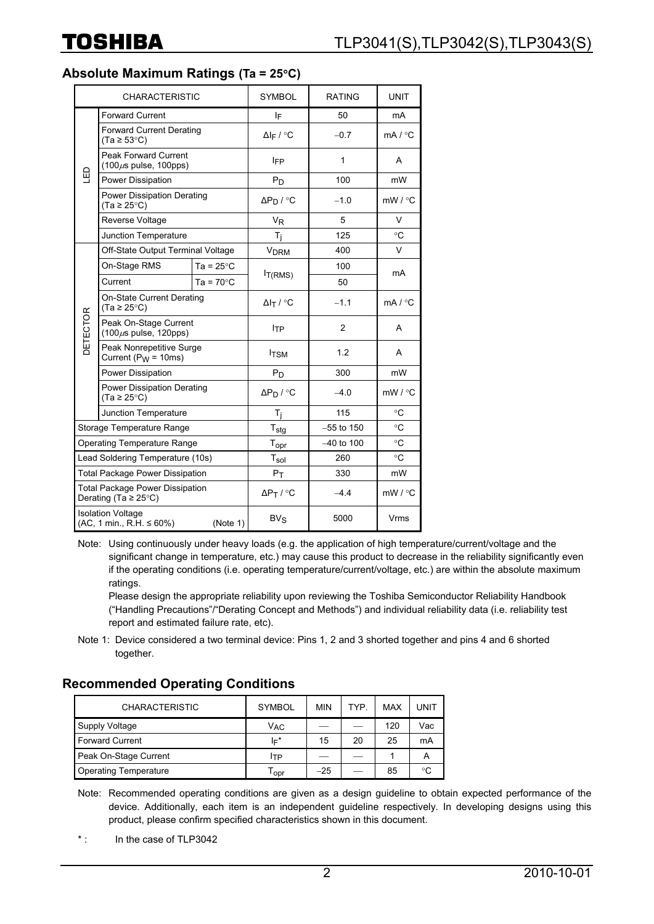**Absolute Maximum Ratings (Ta = 25**°**C)**

| <b>CHARACTERISTIC</b>                                                |                                                                            |                     | <b>SYMBOL</b>              | <b>RATING</b> | <b>UNIT</b>        |  |
|----------------------------------------------------------------------|----------------------------------------------------------------------------|---------------------|----------------------------|---------------|--------------------|--|
| 밉                                                                    | <b>Forward Current</b>                                                     |                     | IF                         | 50            | mA                 |  |
|                                                                      | <b>Forward Current Derating</b><br>$(Ta \ge 53^{\circ}C)$                  |                     | $\Delta I_F$ / °C          | $-0.7$        | mA / °C            |  |
|                                                                      | <b>Peak Forward Current</b><br>$(100 \mu s \text{ pulse}, 100 \text{pps})$ |                     | IFP                        | 1             | A                  |  |
|                                                                      | Power Dissipation                                                          |                     | $P_D$                      | 100           | mW                 |  |
|                                                                      | Power Dissipation Derating<br>$(Ta \geq 25^{\circ}C)$                      |                     | $\Delta P_D / C$           | $-1.0$        | $mW / {}^{\circ}C$ |  |
|                                                                      | Reverse Voltage                                                            |                     | <b>V<sub>R</sub></b>       | 5             | V                  |  |
|                                                                      | Junction Temperature                                                       |                     | Τ <sub>i</sub>             | 125           | $\circ$ C          |  |
|                                                                      | Off-State Output Terminal Voltage                                          |                     | <b>V<sub>DRM</sub></b>     | 400           | V                  |  |
| DETECTOR                                                             | On-Stage RMS                                                               | Ta = $25^{\circ}$ C |                            | 100           | mA                 |  |
|                                                                      | Current                                                                    | Ta = $70^{\circ}$ C | $I_{T(RMS)}$               | 50            |                    |  |
|                                                                      | <b>On-State Current Derating</b><br>$(Ta \geq 25^{\circ}C)$                |                     | $\Delta I_T$ / °C          | $-1.1$        | mA/°C              |  |
|                                                                      | Peak On-Stage Current<br>$(100 \mu s \text{ pulse}, 120 \text{pps})$       |                     | <b>ITP</b>                 | 2             | A                  |  |
|                                                                      | Peak Nonrepetitive Surge<br>Current ( $P_W = 10$ ms)                       |                     | <b>ITSM</b>                | 1.2           | A                  |  |
|                                                                      | Power Dissipation                                                          |                     | $P_D$                      | 300           | mW                 |  |
|                                                                      | <b>Power Dissipation Derating</b><br>$(Ta \ge 25^{\circ}C)$                |                     | $\Delta P_D / C$           | $-4.0$        | mW / °C            |  |
|                                                                      | Junction Temperature                                                       |                     | Τ <sub>i</sub>             | 115           | °C                 |  |
|                                                                      | Storage Temperature Range                                                  |                     | $T_{\text{stg}}$           | $-55$ to 150  | $\circ$ C          |  |
| <b>Operating Temperature Range</b>                                   |                                                                            |                     | $T_{\mathsf{opr}}$         | $-40$ to 100  | $\circ$ C          |  |
| Lead Soldering Temperature (10s)                                     |                                                                            |                     | Tsol                       | 260           | °C                 |  |
| <b>Total Package Power Dissipation</b>                               |                                                                            |                     | $P_T$                      | 330           | mW                 |  |
| <b>Total Package Power Dissipation</b><br>Derating (Ta $\geq$ 25°C)  |                                                                            |                     | $\Delta P_T / C$<br>$-4.4$ |               | $mW / {}^{\circ}C$ |  |
| <b>Isolation Voltage</b><br>$(AC, 1 min., R.H. \le 60%)$<br>(Note 1) |                                                                            |                     | $BV_S$                     | 5000          |                    |  |

Note: Using continuously under heavy loads (e.g. the application of high temperature/current/voltage and the significant change in temperature, etc.) may cause this product to decrease in the reliability significantly even if the operating conditions (i.e. operating temperature/current/voltage, etc.) are within the absolute maximum ratings.

Please design the appropriate reliability upon reviewing the Toshiba Semiconductor Reliability Handbook ("Handling Precautions"/"Derating Concept and Methods") and individual reliability data (i.e. reliability test report and estimated failure rate, etc).

Note 1: Device considered a two terminal device: Pins 1, 2 and 3 shorted together and pins 4 and 6 shorted together.

**Recommended Operating Conditions** 

| <b>CHARACTERISTIC</b>        | <b>SYMBOL</b>         | <b>MIN</b> | TYP. | <b>MAX</b> | UNIT |
|------------------------------|-----------------------|------------|------|------------|------|
| Supply Voltage               | <b>V<sub>AC</sub></b> |            |      | 120        | Vac  |
| <b>Forward Current</b>       | lF*                   | 15         | 20   | 25         | mA   |
| Peak On-Stage Current        | ITP                   |            |      |            |      |
| <b>Operating Temperature</b> | l opr                 | $-25$      |      | 85         | ∘∩   |

Note: Recommended operating conditions are given as a design guideline to obtain expected performance of the device. Additionally, each item is an independent guideline respectively. In developing designs using this product, please confirm specified characteristics shown in this document.

<sup>\* :</sup> In the case of TLP3042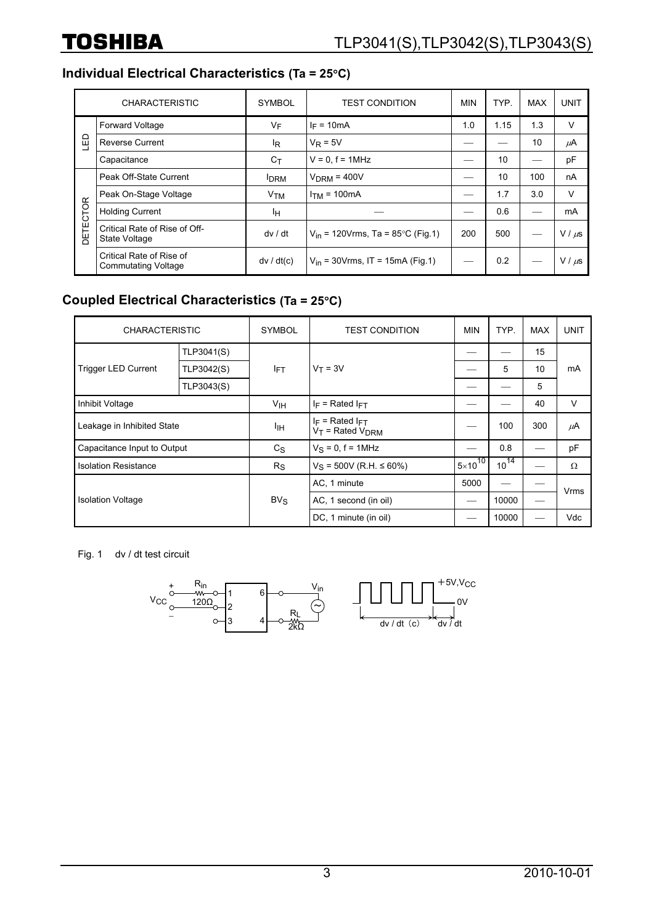## **Individual Electrical Characteristics (Ta = 25**°**C)**

|          | <b>CHARACTERISTIC</b>                                  | <b>SYMBOL</b>         | <b>TEST CONDITION</b>                 | <b>MIN</b> | TYP. | <b>MAX</b> | <b>UNIT</b> |
|----------|--------------------------------------------------------|-----------------------|---------------------------------------|------------|------|------------|-------------|
|          | <b>Forward Voltage</b>                                 | VF                    | $I_F = 10mA$                          | 1.0        | 1.15 | 1.3        | V           |
| LED      | <b>Reverse Current</b>                                 | lŖ                    | $V_R = 5V$                            |            |      | 10         | μA          |
|          | Capacitance                                            | $C_{\mathsf{T}}$      | $V = 0$ , $f = 1$ MHz                 |            | 10   |            | pF          |
|          | Peak Off-State Current                                 | <b>IDRM</b>           | $VDRM = 400V$                         |            | 10   | 100        | nA          |
|          | Peak On-Stage Voltage                                  | <b>V<sub>TM</sub></b> | $ITM = 100mA$                         |            | 1.7  | 3.0        | $\vee$      |
|          | <b>Holding Current</b>                                 | Iн.                   |                                       |            | 0.6  |            | mA          |
| DETECTOR | Critical Rate of Rise of Off-<br>State Voltage         | dv/dt                 | $V_{in}$ = 120Vrms, Ta = 85°C (Fig.1) | 200        | 500  |            | $V / \mu s$ |
|          | Critical Rate of Rise of<br><b>Commutating Voltage</b> | dv / dt(c)            | $V_{in}$ = 30Vrms, IT = 15mA (Fig.1)  |            | 0.2  |            | $V / \mu s$ |

## **Coupled Electrical Characteristics (Ta = 25**°**C)**

| <b>CHARACTERISTIC</b>       |            | <b>SYMBOL</b> | <b>TEST CONDITION</b>                             | <b>MIN</b>         | TYP.      | <b>MAX</b> | <b>UNIT</b> |
|-----------------------------|------------|---------------|---------------------------------------------------|--------------------|-----------|------------|-------------|
| <b>Trigger LED Current</b>  | TLP3041(S) | <b>IFT</b>    | $V_T = 3V$                                        |                    |           | 15         | mA          |
|                             | TLP3042(S) |               |                                                   |                    | 5         | 10         |             |
|                             | TLP3043(S) |               |                                                   |                    |           | 5          |             |
| Inhibit Voltage             |            | Vıн           | $I_F$ = Rated $I_{FT}$                            |                    |           | 40         | V           |
| Leakage in Inhibited State  |            | Iін           | $I_F$ = Rated $I_{FT}$<br>$V_T$ = Rated $V_{DRM}$ |                    | 100       | 300        | $\mu$ A     |
| Capacitance Input to Output |            | $C_{S}$       | $V_S = 0$ , f = 1MHz                              |                    | 0.8       |            | pF          |
| <b>Isolation Resistance</b> |            | $R_{\rm S}$   | $V_S = 500V$ (R.H. $\leq 60\%$ )                  | $5 \times 10^{10}$ | $10^{14}$ |            | Ω           |
|                             |            |               | AC, 1 minute                                      | 5000               |           |            | Vrms        |
| <b>Isolation Voltage</b>    |            | $BV_S$        | AC, 1 second (in oil)                             |                    | 10000     |            |             |
|                             |            |               | DC, 1 minute (in oil)                             |                    | 10000     |            | Vdc         |

Fig. 1 dv / dt test circuit

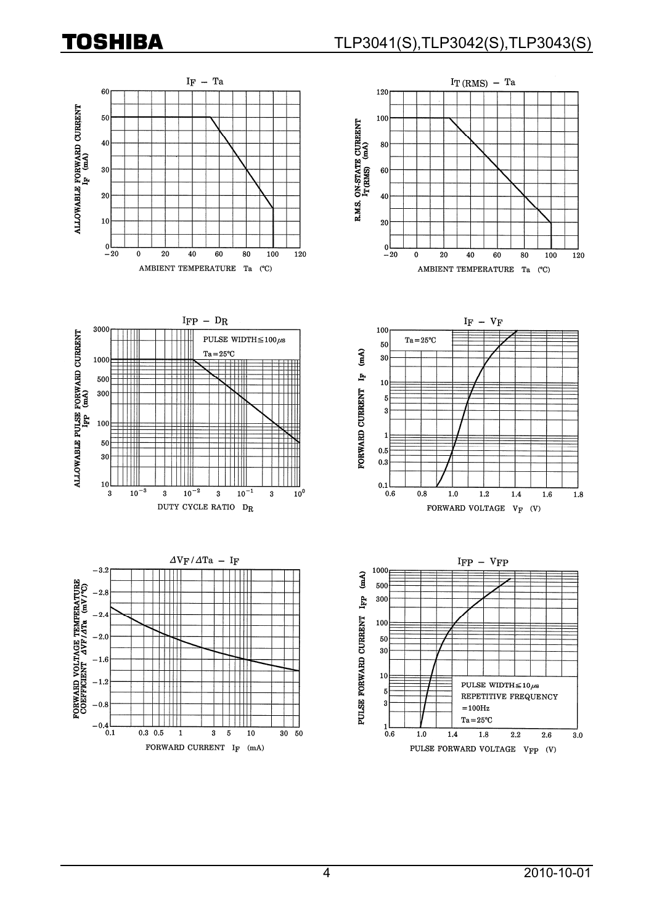# **TOSHIBA**

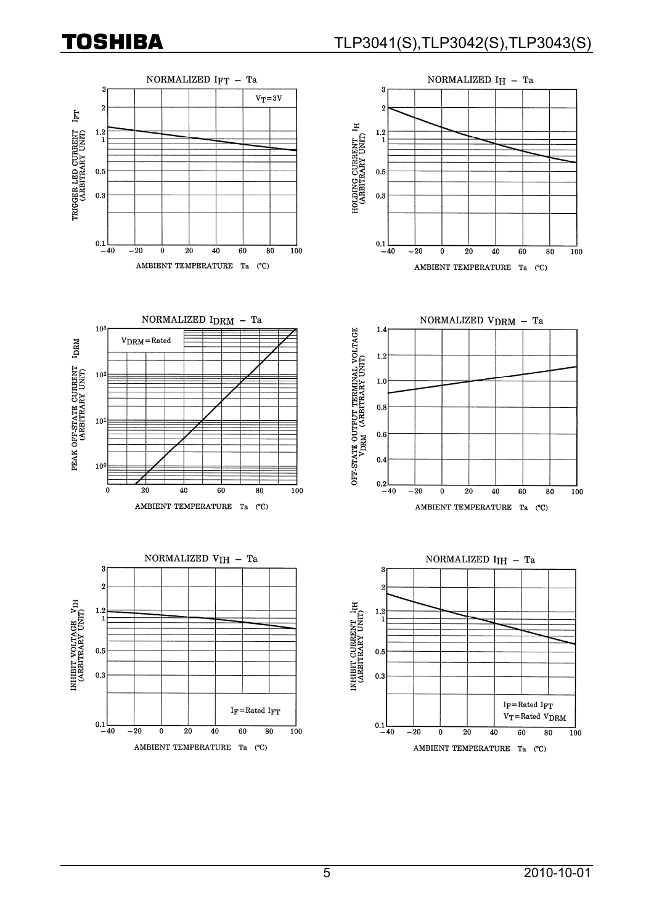# **TOSHIBA**